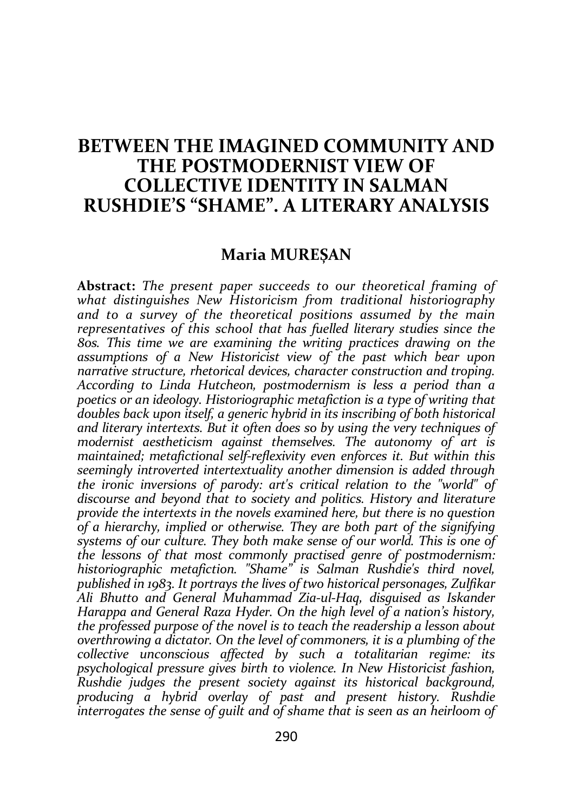# BETWEEN THE IMAGINED COMMUNITY AND THE POSTMODERNIST VIEW OF COLLECTIVE IDENTITY IN SALMAN RUSHDIE'S "SHAME". A LITERARY ANALYSIS

## Maria MUREȘAN

Abstract: The present paper succeeds to our theoretical framing of what distinguishes New Historicism from traditional historiography and to a survey of the theoretical positions assumed by the main representatives of this school that has fuelled literary studies since the  $8\sigma$ s. This time we are examining the writing practices drawing on the assumptions of a New Historicist view of the past which bear upon narrative structure, rhetorical devices, character construction and troping. According to Linda Hutcheon, postmodernism is less a period than a poetics or an ideology. Historiographic metafiction is a type of writing that doubles back upon itself, a generic hybrid in its inscribing of both historical and literary intertexts. But it often does so by using the very techniques of modernist aestheticism against themselves. The autonomy of art is maintained; metafictional self-reflexivity even enforces it. But within this seemingly introverted intertextuality another dimension is added through the ironic inversions of parody: art's critical relation to the "world" of discourse and beyond that to society and politics. History and literature provide the intertexts in the novels examined here, but there is no question of a hierarchy, implied or otherwise. They are both part of the signifying systems of our culture. They both make sense of our world. This is one of the lessons of that most commonly practised genre of postmodernism: historiographic metafiction. "Shame" is Salman Rushdie's third novel, published in 1983. It portrays the lives of two historical personages, Zulfikar Ali Bhutto and General Muhammad Zia-ul-Haq, disguised as Iskander Harappa and General Raza Hyder. On the high level of a nation's history, the professed purpose of the novel is to teach the readership a lesson about overthrowing a dictator. On the level of commoners, it is a plumbing of the collective unconscious affected by such a totalitarian regime: its psychological pressure gives birth to violence. In New Historicist fashion, Rushdie judges the present society against its historical background, producing a hybrid overlay of past and present history. Rushdie interrogates the sense of guilt and of shame that is seen as an heirloom of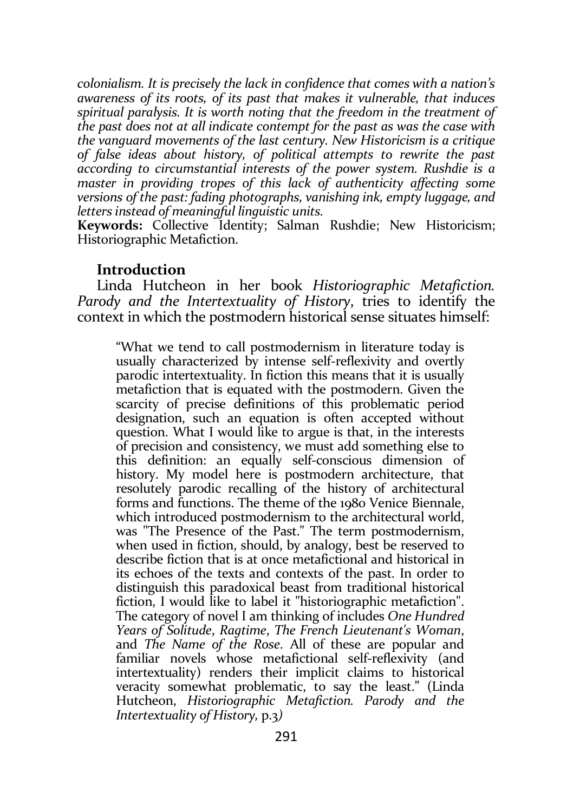colonialism. It is precisely the lack in confidence that comes with a nation's awareness of its roots, of its past that makes it vulnerable, that induces spiritual paralysis. It is worth noting that the freedom in the treatment of the past does not at all indicate contempt for the past as was the case with the vanguard movements of the last century. New Historicism is a critique of false ideas about history, of political attempts to rewrite the past according to circumstantial interests of the power system. Rushdie is a master in providing tropes of this lack of authenticity affecting some versions of the past: fading photographs, vanishing ink, empty luggage, and letters instead of meaningful linguistic units.

Keywords: Collective Identity; Salman Rushdie; New Historicism; Historiographic Metafiction.

## Introduction

Linda Hutcheon in her book Historiographic Metafiction. Parody and the Intertextuality of History, tries to identify the context in which the postmodern historical sense situates himself:

"What we tend to call postmodernism in literature today is usually characterized by intense self-reflexivity and overtly parodic intertextuality. In fiction this means that it is usually metafiction that is equated with the postmodern. Given the scarcity of precise definitions of this problematic period designation, such an equation is often accepted without question. What I would like to argue is that, in the interests of precision and consistency, we must add something else to this definition: an equally self-conscious dimension of history. My model here is postmodern architecture, that resolutely parodic recalling of the history of architectural forms and functions. The theme of the 1980 Venice Biennale, which introduced postmodernism to the architectural world, was "The Presence of the Past." The term postmodernism, when used in fiction, should, by analogy, best be reserved to describe fiction that is at once metafictional and historical in its echoes of the texts and contexts of the past. In order to distinguish this paradoxical beast from traditional historical fiction, I would like to label it "historiographic metafiction". The category of novel I am thinking of includes One Hundred Years of Solitude, Ragtime, The French Lieutenant's Woman, and The Name of the Rose. All of these are popular and familiar novels whose metafictional self-reflexivity (and intertextuality) renders their implicit claims to historical veracity somewhat problematic, to say the least." (Linda Hutcheon, Historiographic Metafiction. Parody and the Intertextuality of History, p.3)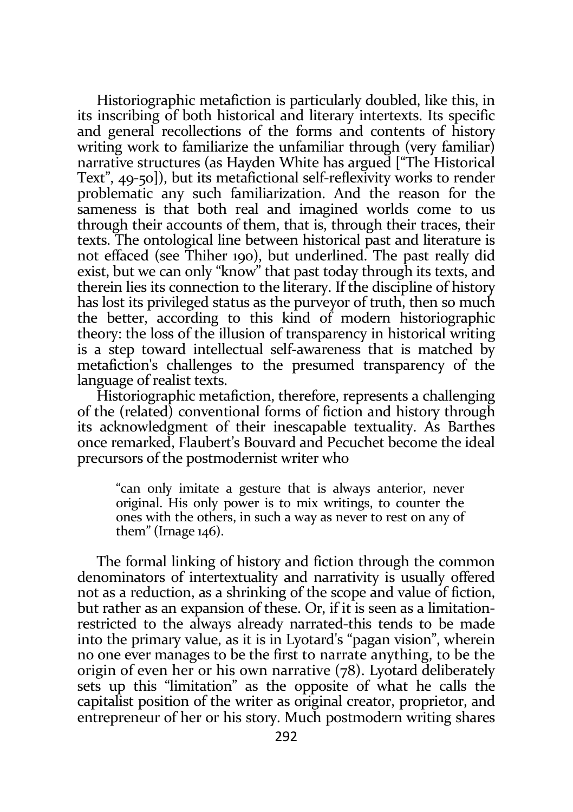Historiographic metafiction is particularly doubled, like this, in its inscribing of both historical and literary intertexts. Its specific and general recollections of the forms and contents of history writing work to familiarize the unfamiliar through (very familiar) narrative structures (as Hayden White has argued ["The Historical Text", 49-50]), but its metafictional self-reflexivity works to render problematic any such familiarization. And the reason for the sameness is that both real and imagined worlds come to us through their accounts of them, that is, through their traces, their texts. The ontological line between historical past and literature is not effaced (see Thiher 190), but underlined. The past really did exist, but we can only "know" that past today through its texts, and therein lies its connection to the literary. If the discipline of history has lost its privileged status as the purveyor of truth, then so much the better, according to this kind of modern historiographic theory: the loss of the illusion of transparency in historical writing is a step toward intellectual self-awareness that is matched by metafiction's challenges to the presumed transparency of the language of realist texts.

Historiographic metafiction, therefore, represents a challenging of the (related) conventional forms of fiction and history through its acknowledgment of their inescapable textuality. As Barthes once remarked, Flaubert's Bouvard and Pecuchet become the ideal precursors of the postmodernist writer who

"can only imitate a gesture that is always anterior, never original. His only power is to mix writings, to counter the ones with the others, in such a way as never to rest on any of them" (Irnage 146).

The formal linking of history and fiction through the common denominators of intertextuality and narrativity is usually offered not as a reduction, as a shrinking of the scope and value of fiction, but rather as an expansion of these. Or, if it is seen as a limitationrestricted to the always already narrated-this tends to be made into the primary value, as it is in Lyotard's "pagan vision", wherein no one ever manages to be the first to narrate anything, to be the origin of even her or his own narrative (78). Lyotard deliberately sets up this "limitation" as the opposite of what he calls the capitalist position of the writer as original creator, proprietor, and entrepreneur of her or his story. Much postmodern writing shares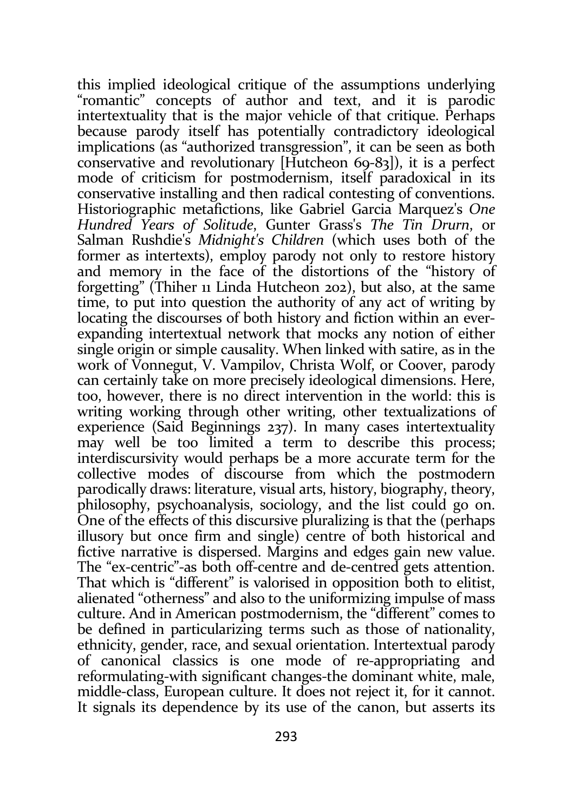this implied ideological critique of the assumptions underlying "romantic" concepts of author and text, and it is parodic intertextuality that is the major vehicle of that critique. Perhaps because parody itself has potentially contradictory ideological implications (as "authorized transgression", it can be seen as both conservative and revolutionary [Hutcheon 69-83]), it is a perfect mode of criticism for postmodernism, itself paradoxical in its conservative installing and then radical contesting of conventions. Historiographic metafictions, like Gabriel Garcia Marquez's One Hundred Years of Solitude, Gunter Grass's The Tin Drurn, or Salman Rushdie's Midnight's Children (which uses both of the former as intertexts), employ parody not only to restore history and memory in the face of the distortions of the "history of forgetting" (Thiher 11 Linda Hutcheon 202), but also, at the same time, to put into question the authority of any act of writing by locating the discourses of both history and fiction within an everexpanding intertextual network that mocks any notion of either single origin or simple causality. When linked with satire, as in the work of Vonnegut, V. Vampilov, Christa Wolf, or Coover, parody can certainly take on more precisely ideological dimensions. Here, too, however, there is no direct intervention in the world: this is writing working through other writing, other textualizations of experience (Said Beginnings 237). In many cases intertextuality may well be too limited a term to describe this process; interdiscursivity would perhaps be a more accurate term for the collective modes of discourse from which the postmodern parodically draws: literature, visual arts, history, biography, theory, philosophy, psychoanalysis, sociology, and the list could go on. One of the effects of this discursive pluralizing is that the (perhaps illusory but once firm and single) centre of both historical and fictive narrative is dispersed. Margins and edges gain new value. The "ex-centric"-as both off-centre and de-centred gets attention. That which is "different" is valorised in opposition both to elitist, alienated "otherness" and also to the uniformizing impulse of mass culture. And in American postmodernism, the "different" comes to be defined in particularizing terms such as those of nationality, ethnicity, gender, race, and sexual orientation. Intertextual parody of canonical classics is one mode of re-appropriating and reformulating-with significant changes-the dominant white, male, middle-class, European culture. It does not reject it, for it cannot. It signals its dependence by its use of the canon, but asserts its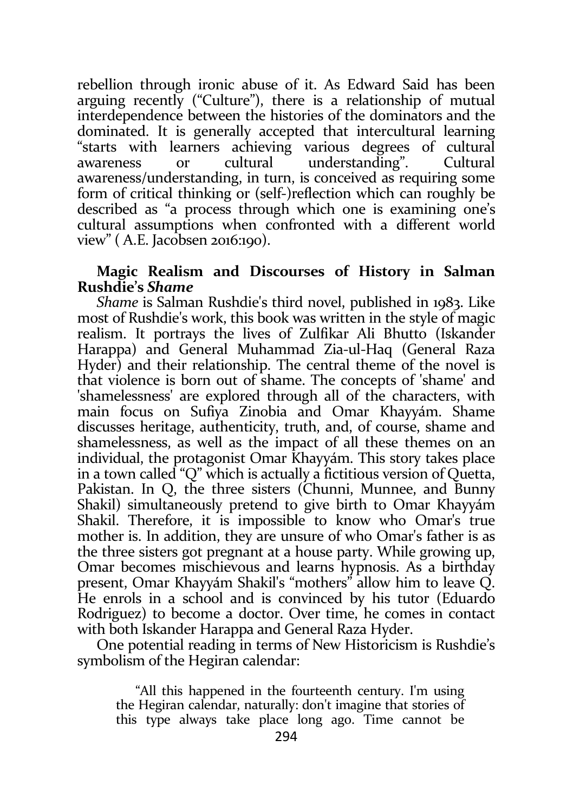rebellion through ironic abuse of it. As Edward Said has been arguing recently ("Culture"), there is a relationship of mutual interdependence between the histories of the dominators and the dominated. It is generally accepted that intercultural learning "starts with learners achieving various degrees of cultural awareness or cultural understanding". Cultural awareness/understanding, in turn, is conceived as requiring some form of critical thinking or (self-)reflection which can roughly be described as "a process through which one is examining one's cultural assumptions when confronted with a different world view" ( A.E. Jacobsen 2016:190).

## Magic Realism and Discourses of History in Salman Rushdie's Shame

Shame is Salman Rushdie's third novel, published in 1983. Like most of Rushdie's work, this book was written in the style of magic realism. It portrays the lives of Zulfikar Ali Bhutto (Iskander Harappa) and General Muhammad Zia-ul-Haq (General Raza Hyder) and their relationship. The central theme of the novel is that violence is born out of shame. The concepts of 'shame' and 'shamelessness' are explored through all of the characters, with main focus on Sufiya Zinobia and Omar Khayyám. Shame discusses heritage, authenticity, truth, and, of course, shame and shamelessness, as well as the impact of all these themes on an individual, the protagonist Omar Khayyám. This story takes place in a town called "Q" which is actually a fictitious version of Quetta, Pakistan. In Q, the three sisters (Chunni, Munnee, and Bunny Shakil) simultaneously pretend to give birth to Omar Khayyám Shakil. Therefore, it is impossible to know who Omar's true mother is. In addition, they are unsure of who Omar's father is as the three sisters got pregnant at a house party. While growing up, Omar becomes mischievous and learns hypnosis. As a birthday present, Omar Khayyám Shakil's "mothers" allow him to leave Q. He enrols in a school and is convinced by his tutor (Eduardo Rodriguez) to become a doctor. Over time, he comes in contact with both Iskander Harappa and General Raza Hyder.

One potential reading in terms of New Historicism is Rushdie's symbolism of the Hegiran calendar:

"All this happened in the fourteenth century. I'm using the Hegiran calendar, naturally: don't imagine that stories of this type always take place long ago. Time cannot be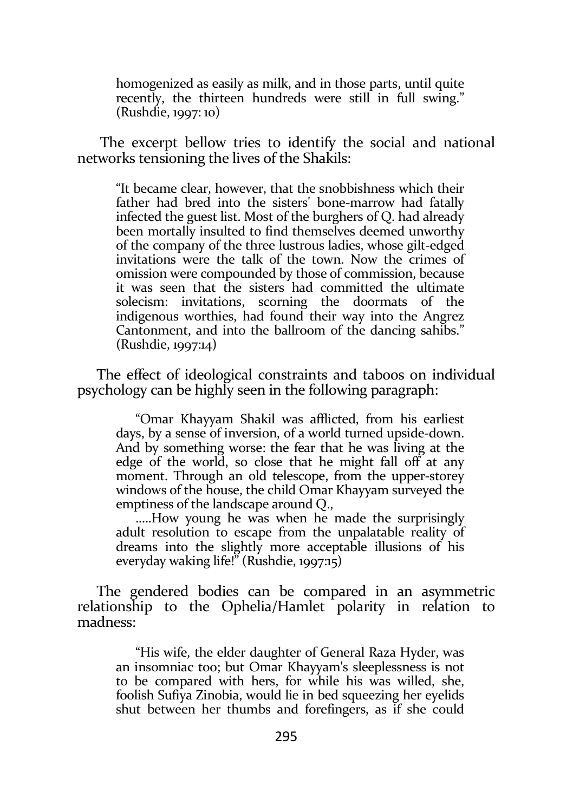homogenized as easily as milk, and in those parts, until quite recently, the thirteen hundreds were still in full swing." (Rushdie, 1997: 10)

 The excerpt bellow tries to identify the social and national networks tensioning the lives of the Shakils:

"It became clear, however, that the snobbishness which their father had bred into the sisters' bone-marrow had fatally infected the guest list. Most of the burghers of Q. had already been mortally insulted to find themselves deemed unworthy of the company of the three lustrous ladies, whose gilt-edged invitations were the talk of the town. Now the crimes of omission were compounded by those of commission, because it was seen that the sisters had committed the ultimate solecism: invitations, scorning the doormats of the indigenous worthies, had found their way into the Angrez Cantonment, and into the ballroom of the dancing sahibs." (Rushdie, 1997:14)

The effect of ideological constraints and taboos on individual psychology can be highly seen in the following paragraph:

"Omar Khayyam Shakil was afflicted, from his earliest days, by a sense of inversion, of a world turned upside-down. And by something worse: the fear that he was living at the edge of the world, so close that he might fall off at any moment. Through an old telescope, from the upper-storey windows of the house, the child Omar Khayyam surveyed the emptiness of the landscape around Q.,

.....How young he was when he made the surprisingly adult resolution to escape from the unpalatable reality of dreams into the slightly more acceptable illusions of his everyday waking life!" (Rushdie, 1997:15)

The gendered bodies can be compared in an asymmetric relationship to the Ophelia/Hamlet polarity in relation to madness:

"His wife, the elder daughter of General Raza Hyder, was an insomniac too; but Omar Khayyam's sleeplessness is not to be compared with hers, for while his was willed, she, foolish Sufiya Zinobia, would lie in bed squeezing her eyelids shut between her thumbs and forefingers, as if she could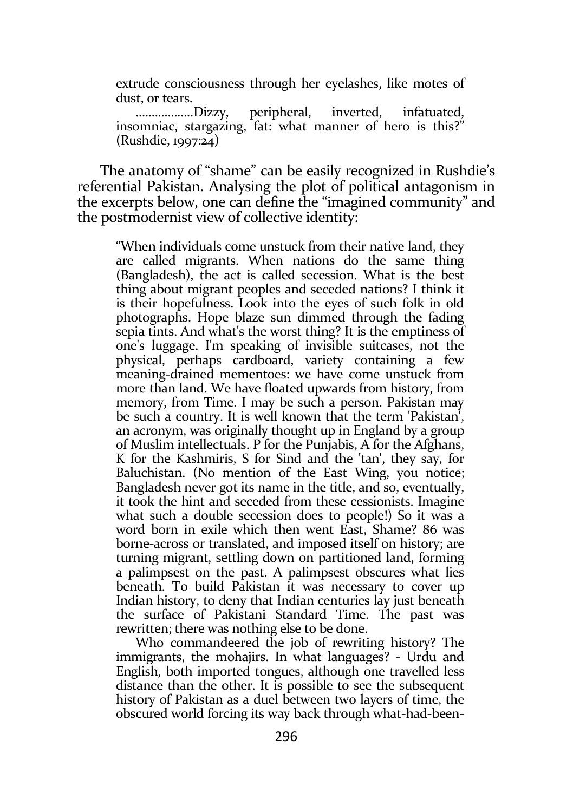extrude consciousness through her eyelashes, like motes of dust, or tears.

..................Dizzy, peripheral, inverted, infatuated, insomniac, stargazing, fat: what manner of hero is this?" (Rushdie, 1997:24)

 The anatomy of "shame" can be easily recognized in Rushdie's referential Pakistan. Analysing the plot of political antagonism in the excerpts below, one can define the "imagined community" and the postmodernist view of collective identity:

"When individuals come unstuck from their native land, they are called migrants. When nations do the same thing (Bangladesh), the act is called secession. What is the best thing about migrant peoples and seceded nations? I think it is their hopefulness. Look into the eyes of such folk in old photographs. Hope blaze sun dimmed through the fading sepia tints. And what's the worst thing? It is the emptiness of one's luggage. I'm speaking of invisible suitcases, not the physical, perhaps cardboard, variety containing a few meaning-drained mementoes: we have come unstuck from more than land. We have floated upwards from history, from memory, from Time. I may be such a person. Pakistan may be such a country. It is well known that the term 'Pakistan', an acronym, was originally thought up in England by a group of Muslim intellectuals. P for the Punjabis, A for the Afghans, K for the Kashmiris, S for Sind and the 'tan', they say, for Baluchistan. (No mention of the East Wing, you notice; Bangladesh never got its name in the title, and so, eventually, it took the hint and seceded from these cessionists. Imagine what such a double secession does to people!) So it was a word born in exile which then went East, Shame? 86 was borne-across or translated, and imposed itself on history; are turning migrant, settling down on partitioned land, forming a palimpsest on the past. A palimpsest obscures what lies beneath. To build Pakistan it was necessary to cover up Indian history, to deny that Indian centuries lay just beneath the surface of Pakistani Standard Time. The past was rewritten; there was nothing else to be done.

Who commandeered the job of rewriting history? The immigrants, the mohajirs. In what languages? - Urdu and English, both imported tongues, although one travelled less distance than the other. It is possible to see the subsequent history of Pakistan as a duel between two layers of time, the obscured world forcing its way back through what-had-been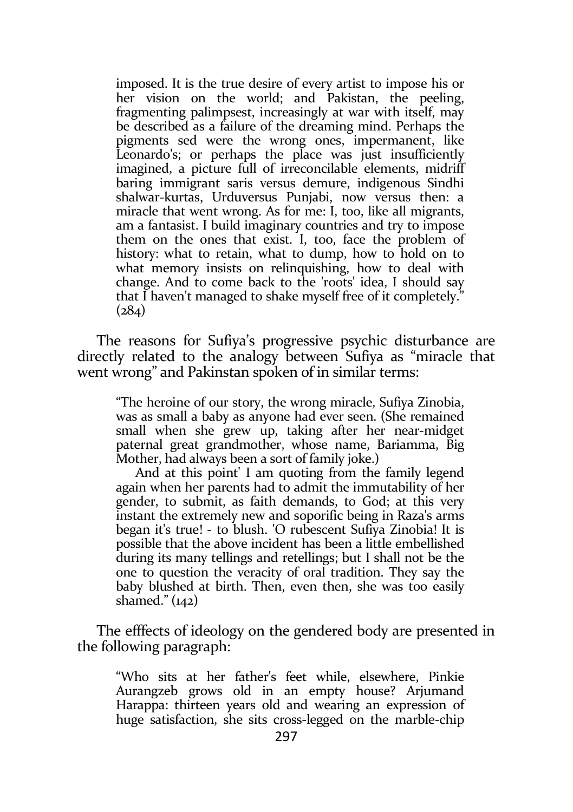imposed. It is the true desire of every artist to impose his or her vision on the world; and Pakistan, the peeling, fragmenting palimpsest, increasingly at war with itself, may be described as a failure of the dreaming mind. Perhaps the pigments sed were the wrong ones, impermanent, like Leonardo's; or perhaps the place was just insufficiently imagined, a picture full of irreconcilable elements, midriff baring immigrant saris versus demure, indigenous Sindhi shalwar-kurtas, Urduversus Punjabi, now versus then: a miracle that went wrong. As for me: I, too, like all migrants, am a fantasist. I build imaginary countries and try to impose them on the ones that exist. I, too, face the problem of history: what to retain, what to dump, how to hold on to what memory insists on relinquishing, how to deal with change. And to come back to the 'roots' idea, I should say that I haven't managed to shake myself free of it completely."  $(284)$ 

The reasons for Sufiya's progressive psychic disturbance are directly related to the analogy between Sufiya as "miracle that went wrong" and Pakinstan spoken of in similar terms:

"The heroine of our story, the wrong miracle, Sufiya Zinobia, was as small a baby as anyone had ever seen. (She remained small when she grew up, taking after her near-midget paternal great grandmother, whose name, Bariamma, Big Mother, had always been a sort of family joke.)

And at this point' I am quoting from the family legend again when her parents had to admit the immutability of her gender, to submit, as faith demands, to God; at this very instant the extremely new and soporific being in Raza's arms began it's true! - to blush. 'O rubescent Sufiya Zinobia! It is possible that the above incident has been a little embellished during its many tellings and retellings; but I shall not be the one to question the veracity of oral tradition. They say the baby blushed at birth. Then, even then, she was too easily shamed." (142)

The efffects of ideology on the gendered body are presented in the following paragraph:

"Who sits at her father's feet while, elsewhere, Pinkie Aurangzeb grows old in an empty house? Arjumand Harappa: thirteen years old and wearing an expression of huge satisfaction, she sits cross-legged on the marble-chip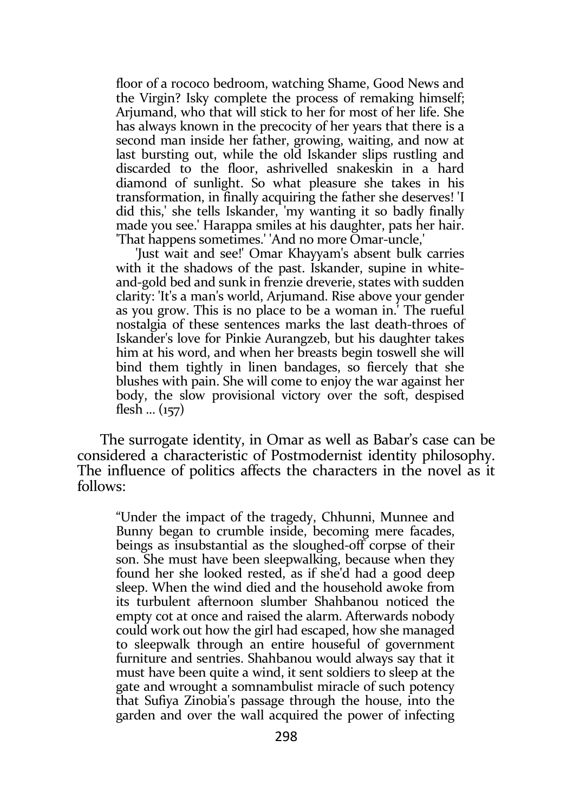floor of a rococo bedroom, watching Shame, Good News and the Virgin? Isky complete the process of remaking himself; Arjumand, who that will stick to her for most of her life. She has always known in the precocity of her years that there is a second man inside her father, growing, waiting, and now at last bursting out, while the old Iskander slips rustling and discarded to the floor, ashrivelled snakeskin in a hard diamond of sunlight. So what pleasure she takes in his transformation, in finally acquiring the father she deserves! 'I did this,' she tells Iskander, 'my wanting it so badly finally made you see.' Harappa smiles at his daughter, pats her hair. 'That happens sometimes.' 'And no more Omar-uncle,'

'Just wait and see!' Omar Khayyam's absent bulk carries with it the shadows of the past. Iskander, supine in whiteand-gold bed and sunk in frenzie dreverie, states with sudden clarity: 'It's a man's world, Arjumand. Rise above your gender as you grow. This is no place to be a woman in.' The rueful nostalgia of these sentences marks the last death-throes of Iskander's love for Pinkie Aurangzeb, but his daughter takes him at his word, and when her breasts begin toswell she will bind them tightly in linen bandages, so fiercely that she blushes with pain. She will come to enjoy the war against her body, the slow provisional victory over the soft, despised flesh ... (157)

 The surrogate identity, in Omar as well as Babar's case can be considered a characteristic of Postmodernist identity philosophy. The influence of politics affects the characters in the novel as it follows:

"Under the impact of the tragedy, Chhunni, Munnee and Bunny began to crumble inside, becoming mere facades, beings as insubstantial as the sloughed-off corpse of their son. She must have been sleepwalking, because when they found her she looked rested, as if she'd had a good deep sleep. When the wind died and the household awoke from its turbulent afternoon slumber Shahbanou noticed the empty cot at once and raised the alarm. Afterwards nobody could work out how the girl had escaped, how she managed to sleepwalk through an entire houseful of government furniture and sentries. Shahbanou would always say that it must have been quite a wind, it sent soldiers to sleep at the gate and wrought a somnambulist miracle of such potency that Sufiya Zinobia's passage through the house, into the garden and over the wall acquired the power of infecting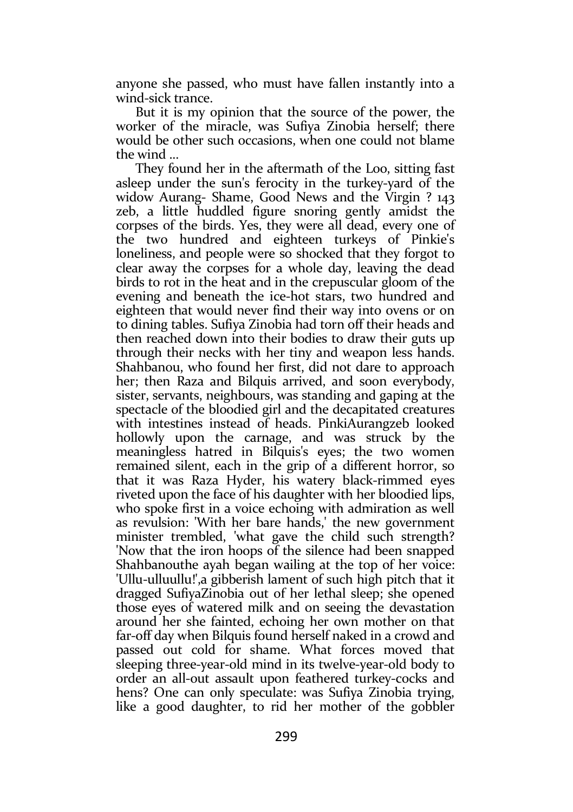anyone she passed, who must have fallen instantly into a wind-sick trance.

But it is my opinion that the source of the power, the worker of the miracle, was Sufiya Zinobia herself; there would be other such occasions, when one could not blame the wind ...

They found her in the aftermath of the Loo, sitting fast asleep under the sun's ferocity in the turkey-yard of the widow Aurang- Shame, Good News and the Virgin ? 143 zeb, a little huddled figure snoring gently amidst the corpses of the birds. Yes, they were all dead, every one of the two hundred and eighteen turkeys of Pinkie's loneliness, and people were so shocked that they forgot to clear away the corpses for a whole day, leaving the dead birds to rot in the heat and in the crepuscular gloom of the evening and beneath the ice-hot stars, two hundred and eighteen that would never find their way into ovens or on to dining tables. Sufiya Zinobia had torn off their heads and then reached down into their bodies to draw their guts up through their necks with her tiny and weapon less hands. Shahbanou, who found her first, did not dare to approach her; then Raza and Bilquis arrived, and soon everybody, sister, servants, neighbours, was standing and gaping at the spectacle of the bloodied girl and the decapitated creatures with intestines instead of heads. PinkiAurangzeb looked hollowly upon the carnage, and was struck by the meaningless hatred in Bilquis's eyes; the two women remained silent, each in the grip of a different horror, so that it was Raza Hyder, his watery black-rimmed eyes riveted upon the face of his daughter with her bloodied lips, who spoke first in a voice echoing with admiration as well as revulsion: 'With her bare hands,' the new government minister trembled, 'what gave the child such strength? 'Now that the iron hoops of the silence had been snapped Shahbanouthe ayah began wailing at the top of her voice: 'Ullu-ulluullu!',a gibberish lament of such high pitch that it dragged SufiyaZinobia out of her lethal sleep; she opened those eyes of watered milk and on seeing the devastation around her she fainted, echoing her own mother on that far-off day when Bilquis found herself naked in a crowd and passed out cold for shame. What forces moved that sleeping three-year-old mind in its twelve-year-old body to order an all-out assault upon feathered turkey-cocks and hens? One can only speculate: was Sufiya Zinobia trying, like a good daughter, to rid her mother of the gobbler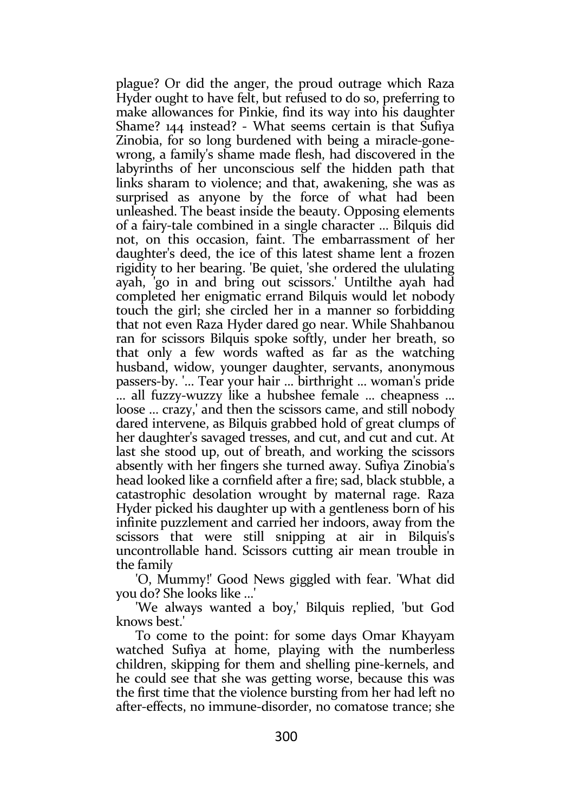plague? Or did the anger, the proud outrage which Raza Hyder ought to have felt, but refused to do so, preferring to make allowances for Pinkie, find its way into his daughter Shame? 144 instead? - What seems certain is that Sufiya Zinobia, for so long burdened with being a miracle-gonewrong, a family's shame made flesh, had discovered in the labyrinths of her unconscious self the hidden path that links sharam to violence; and that, awakening, she was as surprised as anyone by the force of what had been unleashed. The beast inside the beauty. Opposing elements of a fairy-tale combined in a single character ... Bilquis did not, on this occasion, faint. The embarrassment of her daughter's deed, the ice of this latest shame lent a frozen rigidity to her bearing. 'Be quiet, 'she ordered the ululating ayah, 'go in and bring out scissors.' Untilthe ayah had completed her enigmatic errand Bilquis would let nobody touch the girl; she circled her in a manner so forbidding that not even Raza Hyder dared go near. While Shahbanou ran for scissors Bilquis spoke softly, under her breath, so that only a few words wafted as far as the watching husband, widow, younger daughter, servants, anonymous passers-by. '... Tear your hair ... birthright ... woman's pride ... all fuzzy-wuzzy like a hubshee female ... cheapness ... loose ... crazy,' and then the scissors came, and still nobody dared intervene, as Bilquis grabbed hold of great clumps of her daughter's savaged tresses, and cut, and cut and cut. At last she stood up, out of breath, and working the scissors absently with her fingers she turned away. Sufiya Zinobia's head looked like a cornfield after a fire; sad, black stubble, a catastrophic desolation wrought by maternal rage. Raza Hyder picked his daughter up with a gentleness born of his infinite puzzlement and carried her indoors, away from the scissors that were still snipping at air in Bilquis's uncontrollable hand. Scissors cutting air mean trouble in the family

'O, Mummy!' Good News giggled with fear. 'What did you do? She looks like ...'

'We always wanted a boy,' Bilquis replied, 'but God knows best.'

To come to the point: for some days Omar Khayyam watched Sufiya at home, playing with the numberless children, skipping for them and shelling pine-kernels, and he could see that she was getting worse, because this was the first time that the violence bursting from her had left no after-effects, no immune-disorder, no comatose trance; she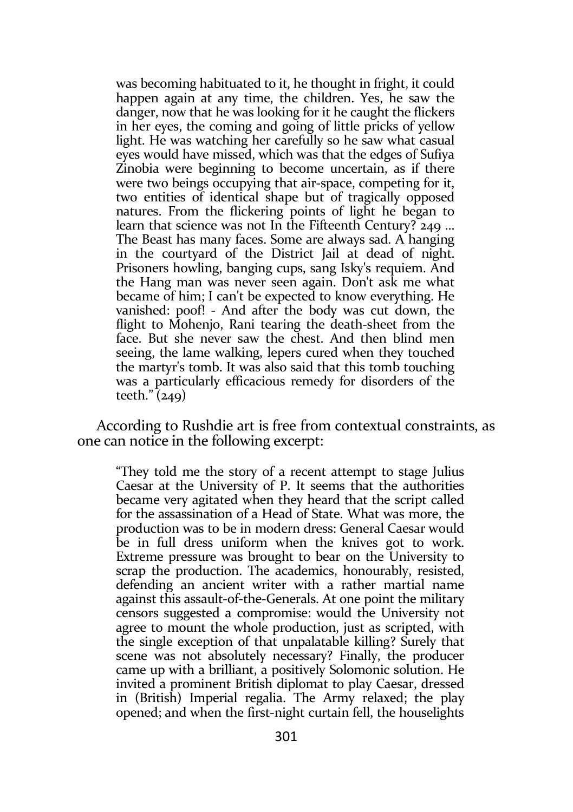was becoming habituated to it, he thought in fright, it could happen again at any time, the children. Yes, he saw the danger, now that he was looking for it he caught the flickers in her eyes, the coming and going of little pricks of yellow light. He was watching her carefully so he saw what casual eyes would have missed, which was that the edges of Sufiya Zinobia were beginning to become uncertain, as if there were two beings occupying that air-space, competing for it, two entities of identical shape but of tragically opposed natures. From the flickering points of light he began to learn that science was not In the Fifteenth Century? 249 ... The Beast has many faces. Some are always sad. A hanging in the courtyard of the District Jail at dead of night. Prisoners howling, banging cups, sang Isky's requiem. And the Hang man was never seen again. Don't ask me what became of him; I can't be expected to know everything. He vanished: poof! - And after the body was cut down, the flight to Mohenjo, Rani tearing the death-sheet from the face. But she never saw the chest. And then blind men seeing, the lame walking, lepers cured when they touched the martyr's tomb. It was also said that this tomb touching was a particularly efficacious remedy for disorders of the teeth." $(249)$ 

According to Rushdie art is free from contextual constraints, as one can notice in the following excerpt:

"They told me the story of a recent attempt to stage Julius Caesar at the University of P. It seems that the authorities became very agitated when they heard that the script called for the assassination of a Head of State. What was more, the production was to be in modern dress: General Caesar would be in full dress uniform when the knives got to work. Extreme pressure was brought to bear on the University to scrap the production. The academics, honourably, resisted, defending an ancient writer with a rather martial name against this assault-of-the-Generals. At one point the military censors suggested a compromise: would the University not agree to mount the whole production, just as scripted, with the single exception of that unpalatable killing? Surely that scene was not absolutely necessary? Finally, the producer came up with a brilliant, a positively Solomonic solution. He invited a prominent British diplomat to play Caesar, dressed in (British) Imperial regalia. The Army relaxed; the play opened; and when the first-night curtain fell, the houselights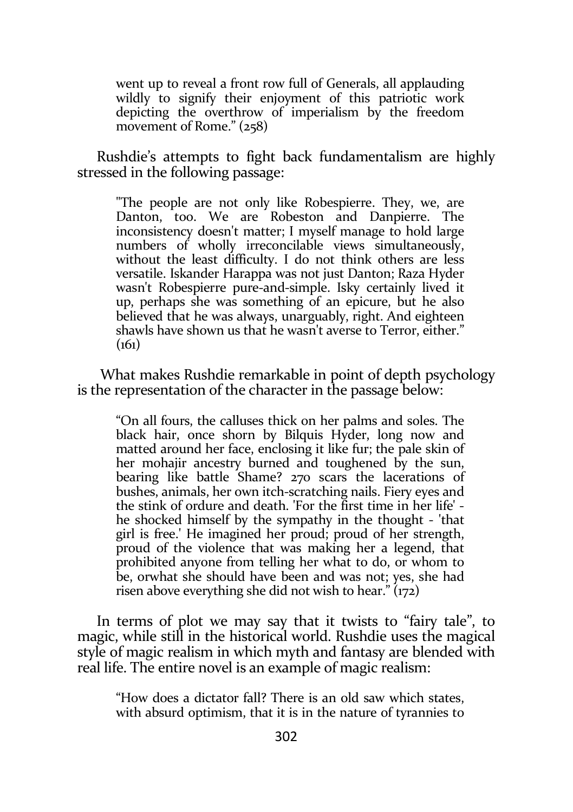went up to reveal a front row full of Generals, all applauding wildly to signify their enjoyment of this patriotic work depicting the overthrow of imperialism by the freedom movement of Rome." (258)

Rushdie's attempts to fight back fundamentalism are highly stressed in the following passage:

"The people are not only like Robespierre. They, we, are Danton, too. We are Robeston and Danpierre. The inconsistency doesn't matter; I myself manage to hold large numbers of wholly irreconcilable views simultaneously, without the least difficulty. I do not think others are less versatile. Iskander Harappa was not just Danton; Raza Hyder wasn't Robespierre pure-and-simple. Isky certainly lived it up, perhaps she was something of an epicure, but he also believed that he was always, unarguably, right. And eighteen shawls have shown us that he wasn't averse to Terror, either."  $(161)$ 

 What makes Rushdie remarkable in point of depth psychology is the representation of the character in the passage below:

"On all fours, the calluses thick on her palms and soles. The black hair, once shorn by Bilquis Hyder, long now and matted around her face, enclosing it like fur; the pale skin of her mohajir ancestry burned and toughened by the sun, bearing like battle Shame? 270 scars the lacerations of bushes, animals, her own itch-scratching nails. Fiery eyes and the stink of ordure and death. 'For the first time in her life' he shocked himself by the sympathy in the thought - 'that girl is free.' He imagined her proud; proud of her strength, proud of the violence that was making her a legend, that prohibited anyone from telling her what to do, or whom to be, orwhat she should have been and was not; yes, she had risen above everything she did not wish to hear." (172)

In terms of plot we may say that it twists to "fairy tale", to magic, while still in the historical world. Rushdie uses the magical style of magic realism in which myth and fantasy are blended with real life. The entire novel is an example of magic realism:

"How does a dictator fall? There is an old saw which states, with absurd optimism, that it is in the nature of tyrannies to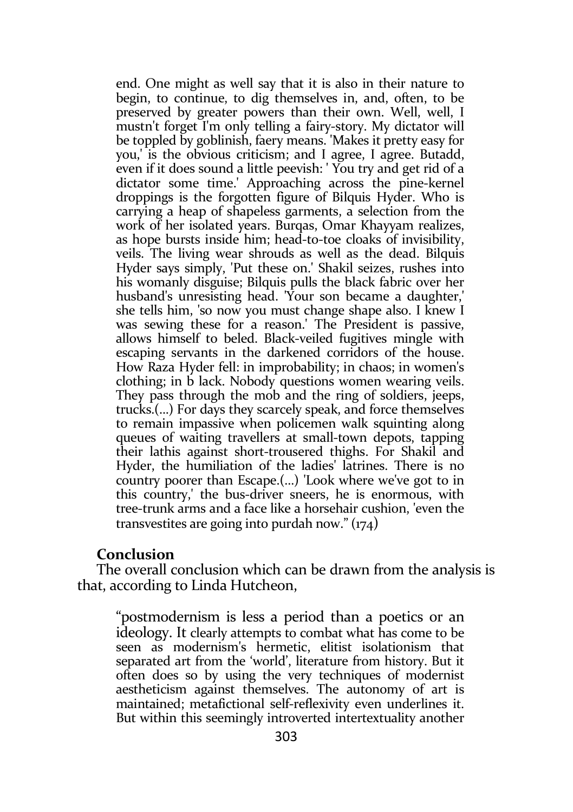end. One might as well say that it is also in their nature to begin, to continue, to dig themselves in, and, often, to be preserved by greater powers than their own. Well, well, I mustn't forget I'm only telling a fairy-story. My dictator will be toppled by goblinish, faery means. 'Makes it pretty easy for you,' is the obvious criticism; and I agree, I agree. Butadd, even if it does sound a little peevish: ' You try and get rid of a dictator some time.' Approaching across the pine-kernel droppings is the forgotten figure of Bilquis Hyder. Who is carrying a heap of shapeless garments, a selection from the work of her isolated years. Burqas, Omar Khayyam realizes, as hope bursts inside him; head-to-toe cloaks of invisibility, veils. The living wear shrouds as well as the dead. Bilquis Hyder says simply, 'Put these on.' Shakil seizes, rushes into his womanly disguise; Bilquis pulls the black fabric over her husband's unresisting head. 'Your son became a daughter,' she tells him, 'so now you must change shape also. I knew I was sewing these for a reason.' The President is passive, allows himself to beled. Black-veiled fugitives mingle with escaping servants in the darkened corridors of the house. How Raza Hyder fell: in improbability; in chaos; in women's clothing; in b lack. Nobody questions women wearing veils. They pass through the mob and the ring of soldiers, jeeps, trucks.(...) For days they scarcely speak, and force themselves to remain impassive when policemen walk squinting along queues of waiting travellers at small-town depots, tapping their lathis against short-trousered thighs. For Shakil and Hyder, the humiliation of the ladies' latrines. There is no country poorer than Escape.(...) 'Look where we've got to in this country,' the bus-driver sneers, he is enormous, with tree-trunk arms and a face like a horsehair cushion, 'even the transvestites are going into purdah now." (174)

## Conclusion

The overall conclusion which can be drawn from the analysis is that, according to Linda Hutcheon,

"postmodernism is less a period than a poetics or an ideology. It clearly attempts to combat what has come to be seen as modernism's hermetic, elitist isolationism that separated art from the 'world', literature from history. But it often does so by using the very techniques of modernist aestheticism against themselves. The autonomy of art is maintained; metafictional self-reflexivity even underlines it. But within this seemingly introverted intertextuality another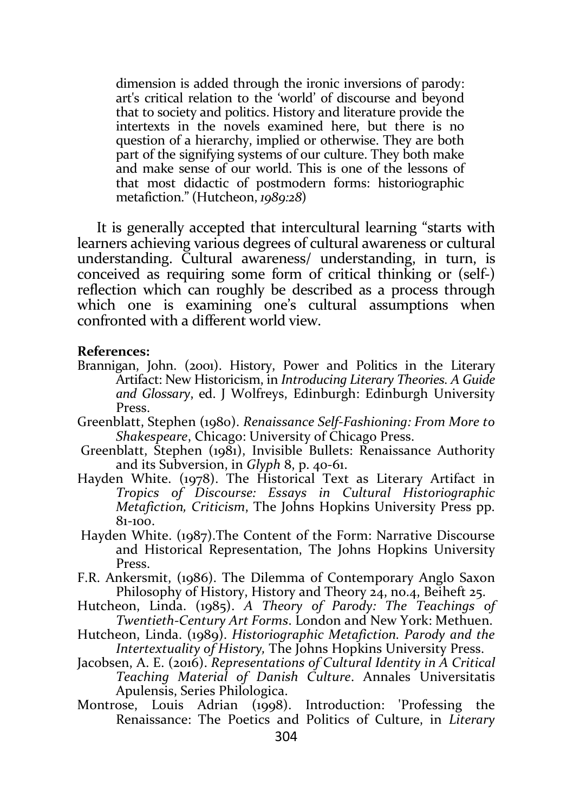dimension is added through the ironic inversions of parody: art's critical relation to the 'world' of discourse and beyond that to society and politics. History and literature provide the intertexts in the novels examined here, but there is no question of a hierarchy, implied or otherwise. They are both part of the signifying systems of our culture. They both make and make sense of our world. This is one of the lessons of that most didactic of postmodern forms: historiographic metafiction." (Hutcheon, 1989:28)

It is generally accepted that intercultural learning "starts with learners achieving various degrees of cultural awareness or cultural understanding. Cultural awareness/ understanding, in turn, is conceived as requiring some form of critical thinking or (self-) reflection which can roughly be described as a process through which one is examining one's cultural assumptions when confronted with a different world view.

#### References:

- Brannigan, John. (2001). History, Power and Politics in the Literary Artifact: New Historicism, in Introducing Literary Theories. A Guide and Glossary, ed. J Wolfreys, Edinburgh: Edinburgh University Press.
- Greenblatt, Stephen (1980). Renaissance Self-Fashioning: From More to Shakespeare, Chicago: University of Chicago Press.
- Greenblatt, Stephen (1981), Invisible Bullets: Renaissance Authority and its Subversion, in Glyph 8, p. 40-61.
- Hayden White. (1978). The Historical Text as Literary Artifact in Tropics of Discourse: Essays in Cultural Historiographic Metafiction, Criticism, The Johns Hopkins University Press pp. 81-100.
- Hayden White. (1987).The Content of the Form: Narrative Discourse and Historical Representation, The Johns Hopkins University Press.
- F.R. Ankersmit, (1986). The Dilemma of Contemporary Anglo Saxon Philosophy of History, History and Theory 24, no.4, Beiheft 25.
- Hutcheon, Linda. (1985). A Theory of Parody: The Teachings of Twentieth-Century Art Forms. London and New York: Methuen.
- Hutcheon, Linda. (1989). Historiographic Metafiction. Parody and the Intertextuality of History, The Johns Hopkins University Press.
- Jacobsen, A. E. (2016). Representations of Cultural Identity in A Critical Teaching Material of Danish Culture. Annales Universitatis Apulensis, Series Philologica.
- Montrose, Louis Adrian (1998). Introduction: 'Professing the Renaissance: The Poetics and Politics of Culture, in Literary